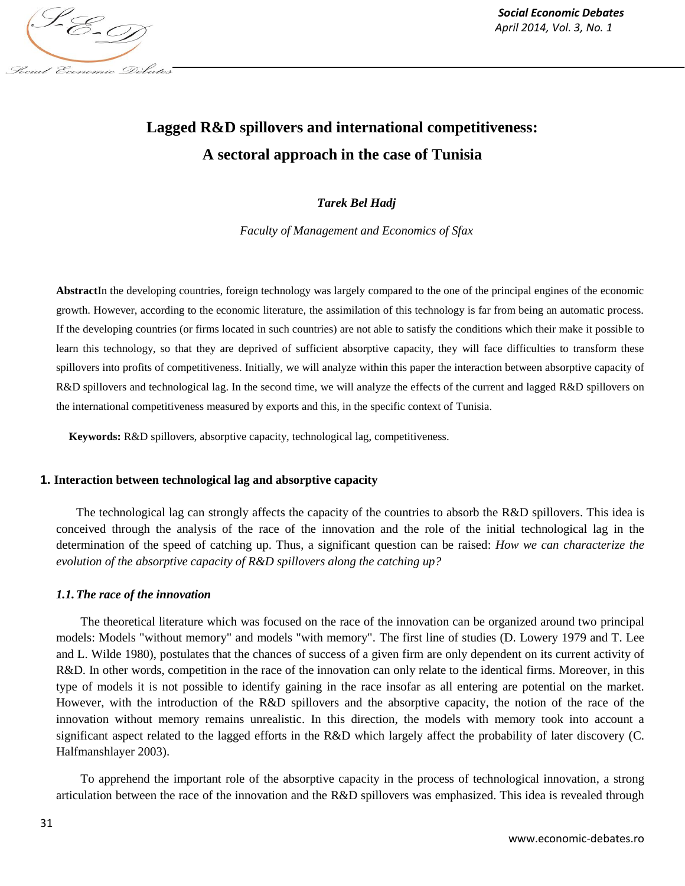

# **Lagged R&D spillovers and international competitiveness: A sectoral approach in the case of Tunisia**

## *Tarek Bel Hadj*

*Faculty of Management and Economics of Sfax*

**Abstract**In the developing countries, foreign technology was largely compared to the one of the principal engines of the economic growth. However, according to the economic literature, the assimilation of this technology is far from being an automatic process. If the developing countries (or firms located in such countries) are not able to satisfy the conditions which their make it possible to learn this technology, so that they are deprived of sufficient absorptive capacity, they will face difficulties to transform these spillovers into profits of competitiveness. Initially, we will analyze within this paper the interaction between absorptive capacity of R&D spillovers and technological lag. In the second time, we will analyze the effects of the current and lagged R&D spillovers on the international competitiveness measured by exports and this, in the specific context of Tunisia.

**Keywords:** R&D spillovers, absorptive capacity, technological lag, competitiveness.

## **1. Interaction between technological lag and absorptive capacity**

The technological lag can strongly affects the capacity of the countries to absorb the R&D spillovers. This idea is conceived through the analysis of the race of the innovation and the role of the initial technological lag in the determination of the speed of catching up. Thus, a significant question can be raised: *How we can characterize the evolution of the absorptive capacity of R&D spillovers along the catching up?*

## *1.1.The race of the innovation*

The theoretical literature which was focused on the race of the innovation can be organized around two principal models: Models "without memory" and models "with memory". The first line of studies (D. Lowery 1979 and T. Lee and L. Wilde 1980), postulates that the chances of success of a given firm are only dependent on its current activity of R&D. In other words, competition in the race of the innovation can only relate to the identical firms. Moreover, in this type of models it is not possible to identify gaining in the race insofar as all entering are potential on the market. However, with the introduction of the R&D spillovers and the absorptive capacity, the notion of the race of the innovation without memory remains unrealistic. In this direction, the models with memory took into account a significant aspect related to the lagged efforts in the R&D which largely affect the probability of later discovery (C. Halfmanshlayer 2003).

To apprehend the important role of the absorptive capacity in the process of technological innovation, a strong articulation between the race of the innovation and the R&D spillovers was emphasized. This idea is revealed through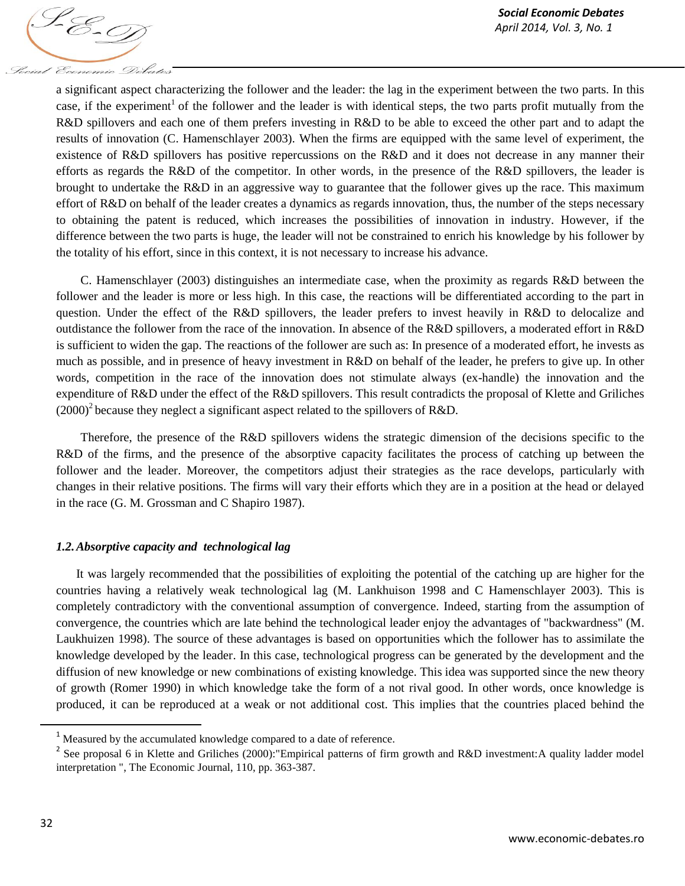

a significant aspect characterizing the follower and the leader: the lag in the experiment between the two parts. In this case, if the experiment<sup>1</sup> of the follower and the leader is with identical steps, the two parts profit mutually from the R&D spillovers and each one of them prefers investing in R&D to be able to exceed the other part and to adapt the results of innovation (C. Hamenschlayer 2003). When the firms are equipped with the same level of experiment, the existence of R&D spillovers has positive repercussions on the R&D and it does not decrease in any manner their efforts as regards the R&D of the competitor. In other words, in the presence of the R&D spillovers, the leader is brought to undertake the R&D in an aggressive way to guarantee that the follower gives up the race. This maximum effort of R&D on behalf of the leader creates a dynamics as regards innovation, thus, the number of the steps necessary to obtaining the patent is reduced, which increases the possibilities of innovation in industry. However, if the difference between the two parts is huge, the leader will not be constrained to enrich his knowledge by his follower by the totality of his effort, since in this context, it is not necessary to increase his advance.

C. Hamenschlayer (2003) distinguishes an intermediate case, when the proximity as regards R&D between the follower and the leader is more or less high. In this case, the reactions will be differentiated according to the part in question. Under the effect of the R&D spillovers, the leader prefers to invest heavily in R&D to delocalize and outdistance the follower from the race of the innovation. In absence of the R&D spillovers, a moderated effort in R&D is sufficient to widen the gap. The reactions of the follower are such as: In presence of a moderated effort, he invests as much as possible, and in presence of heavy investment in R&D on behalf of the leader, he prefers to give up. In other words, competition in the race of the innovation does not stimulate always (ex-handle) the innovation and the expenditure of R&D under the effect of the R&D spillovers. This result contradicts the proposal of Klette and Griliches  $(2000)^2$  because they neglect a significant aspect related to the spillovers of R&D.

Therefore, the presence of the R&D spillovers widens the strategic dimension of the decisions specific to the R&D of the firms, and the presence of the absorptive capacity facilitates the process of catching up between the follower and the leader. Moreover, the competitors adjust their strategies as the race develops, particularly with changes in their relative positions. The firms will vary their efforts which they are in a position at the head or delayed in the race (G. M. Grossman and C Shapiro 1987).

## *1.2.Absorptive capacity and technological lag*

It was largely recommended that the possibilities of exploiting the potential of the catching up are higher for the countries having a relatively weak technological lag (M. Lankhuison 1998 and C Hamenschlayer 2003). This is completely contradictory with the conventional assumption of convergence. Indeed, starting from the assumption of convergence, the countries which are late behind the technological leader enjoy the advantages of "backwardness" (M. Laukhuizen 1998). The source of these advantages is based on opportunities which the follower has to assimilate the knowledge developed by the leader. In this case, technological progress can be generated by the development and the diffusion of new knowledge or new combinations of existing knowledge. This idea was supported since the new theory of growth (Romer 1990) in which knowledge take the form of a not rival good. In other words, once knowledge is produced, it can be reproduced at a weak or not additional cost. This implies that the countries placed behind the

l

<sup>1</sup> Measured by the accumulated knowledge compared to a date of reference.

<sup>&</sup>lt;sup>2</sup> See proposal 6 in Klette and Griliches (2000): "Empirical patterns of firm growth and R&D investment: A quality ladder model interpretation ", The Economic Journal, 110, pp. 363-387.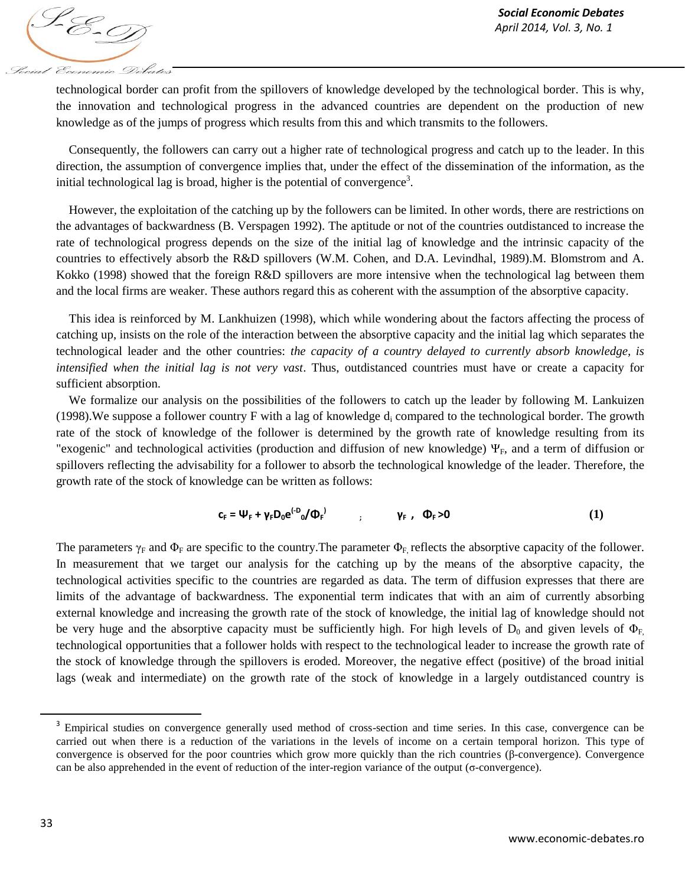1-E-9 Social Economic Debates

technological border can profit from the spillovers of knowledge developed by the technological border. This is why, the innovation and technological progress in the advanced countries are dependent on the production of new knowledge as of the jumps of progress which results from this and which transmits to the followers.

Consequently, the followers can carry out a higher rate of technological progress and catch up to the leader. In this direction, the assumption of convergence implies that, under the effect of the dissemination of the information, as the initial technological lag is broad, higher is the potential of convergence<sup>3</sup>.

However, the exploitation of the catching up by the followers can be limited. In other words, there are restrictions on the advantages of backwardness (B. Verspagen 1992). The aptitude or not of the countries outdistanced to increase the rate of technological progress depends on the size of the initial lag of knowledge and the intrinsic capacity of the countries to effectively absorb the R&D spillovers (W.M. Cohen, and D.A. Levindhal, 1989).M. Blomstrom and A. Kokko (1998) showed that the foreign R&D spillovers are more intensive when the technological lag between them and the local firms are weaker. These authors regard this as coherent with the assumption of the absorptive capacity.

This idea is reinforced by M. Lankhuizen (1998), which while wondering about the factors affecting the process of catching up, insists on the role of the interaction between the absorptive capacity and the initial lag which separates the technological leader and the other countries: *the capacity of a country delayed to currently absorb knowledge, is intensified when the initial lag is not very vast*. Thus, outdistanced countries must have or create a capacity for sufficient absorption.

We formalize our analysis on the possibilities of the followers to catch up the leader by following M. Lankuizen (1998). We suppose a follower country F with a lag of knowledge  $d_i$  compared to the technological border. The growth rate of the stock of knowledge of the follower is determined by the growth rate of knowledge resulting from its "exogenic" and technological activities (production and diffusion of new knowledge)  $\Psi_F$ , and a term of diffusion or spillovers reflecting the advisability for a follower to absorb the technological knowledge of the leader. Therefore, the growth rate of the stock of knowledge can be written as follows:

$$
c_{F} = \Psi_{F} + \gamma_{F} D_{0} e^{(-D)} \phi_{F}^{D} \qquad ; \qquad \gamma_{F} , \quad \Phi_{F} > 0 \qquad (1)
$$

The parameters  $\gamma_F$  and  $\Phi_F$  are specific to the country. The parameter  $\Phi_F$ , reflects the absorptive capacity of the follower. In measurement that we target our analysis for the catching up by the means of the absorptive capacity, the technological activities specific to the countries are regarded as data. The term of diffusion expresses that there are limits of the advantage of backwardness. The exponential term indicates that with an aim of currently absorbing external knowledge and increasing the growth rate of the stock of knowledge, the initial lag of knowledge should not be very huge and the absorptive capacity must be sufficiently high. For high levels of  $D_0$  and given levels of  $\Phi_F$ , technological opportunities that a follower holds with respect to the technological leader to increase the growth rate of the stock of knowledge through the spillovers is eroded. Moreover, the negative effect (positive) of the broad initial lags (weak and intermediate) on the growth rate of the stock of knowledge in a largely outdistanced country is

 $\overline{\phantom{a}}$ 

<sup>&</sup>lt;sup>3</sup> Empirical studies on convergence generally used method of cross-section and time series. In this case, convergence can be carried out when there is a reduction of the variations in the levels of income on a certain temporal horizon. This type of convergence is observed for the poor countries which grow more quickly than the rich countries (β-convergence). Convergence can be also apprehended in the event of reduction of the inter-region variance of the output (σ-convergence).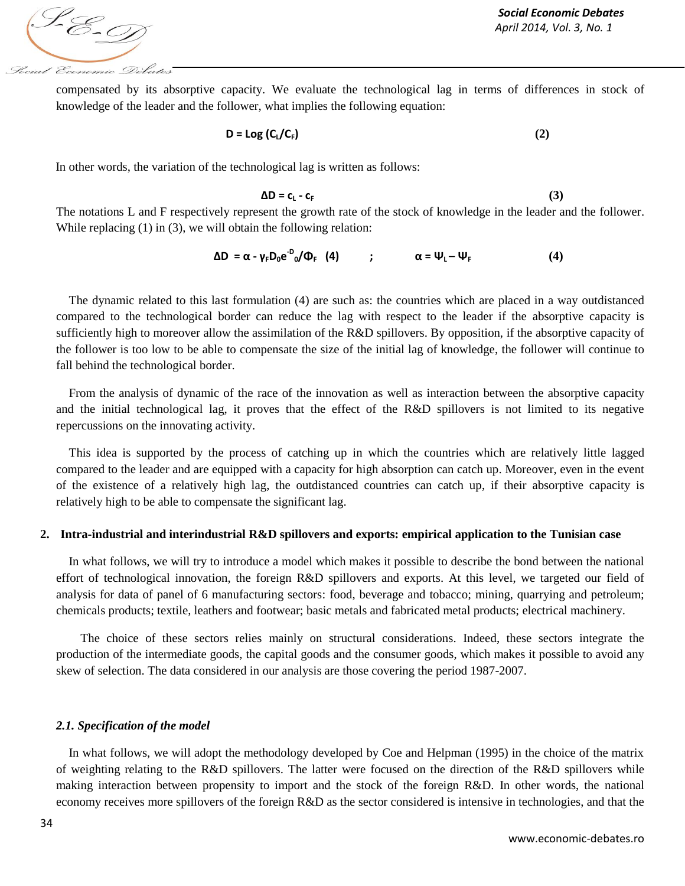S-E-T Social Economic Debates

compensated by its absorptive capacity. We evaluate the technological lag in terms of differences in stock of knowledge of the leader and the follower, what implies the following equation:

$$
D = Log (C_L/C_F)
$$
 (2)

In other words, the variation of the technological lag is written as follows:

$$
\Delta D = c_{L} - c_{F} \tag{3}
$$

The notations L and F respectively represent the growth rate of the stock of knowledge in the leader and the follower. While replacing (1) in (3), we will obtain the following relation:

$$
\Delta D = \alpha - \gamma_F D_0 e^{-D} (\Phi_F \quad (4) \qquad ; \qquad \alpha = \Psi_L - \Psi_F \qquad (4)
$$

The dynamic related to this last formulation (4) are such as: the countries which are placed in a way outdistanced compared to the technological border can reduce the lag with respect to the leader if the absorptive capacity is sufficiently high to moreover allow the assimilation of the R&D spillovers. By opposition, if the absorptive capacity of the follower is too low to be able to compensate the size of the initial lag of knowledge, the follower will continue to fall behind the technological border.

From the analysis of dynamic of the race of the innovation as well as interaction between the absorptive capacity and the initial technological lag, it proves that the effect of the R&D spillovers is not limited to its negative repercussions on the innovating activity.

This idea is supported by the process of catching up in which the countries which are relatively little lagged compared to the leader and are equipped with a capacity for high absorption can catch up. Moreover, even in the event of the existence of a relatively high lag, the outdistanced countries can catch up, if their absorptive capacity is relatively high to be able to compensate the significant lag.

#### **2. Intra-industrial and interindustrial R&D spillovers and exports: empirical application to the Tunisian case**

In what follows, we will try to introduce a model which makes it possible to describe the bond between the national effort of technological innovation, the foreign R&D spillovers and exports. At this level, we targeted our field of analysis for data of panel of 6 manufacturing sectors: food, beverage and tobacco; mining, quarrying and petroleum; chemicals products; textile, leathers and footwear; basic metals and fabricated metal products; electrical machinery.

The choice of these sectors relies mainly on structural considerations. Indeed, these sectors integrate the production of the intermediate goods, the capital goods and the consumer goods, which makes it possible to avoid any skew of selection. The data considered in our analysis are those covering the period 1987-2007.

#### *2.1. Specification of the model*

In what follows, we will adopt the methodology developed by Coe and Helpman (1995) in the choice of the matrix of weighting relating to the R&D spillovers. The latter were focused on the direction of the R&D spillovers while making interaction between propensity to import and the stock of the foreign R&D. In other words, the national economy receives more spillovers of the foreign R&D as the sector considered is intensive in technologies, and that the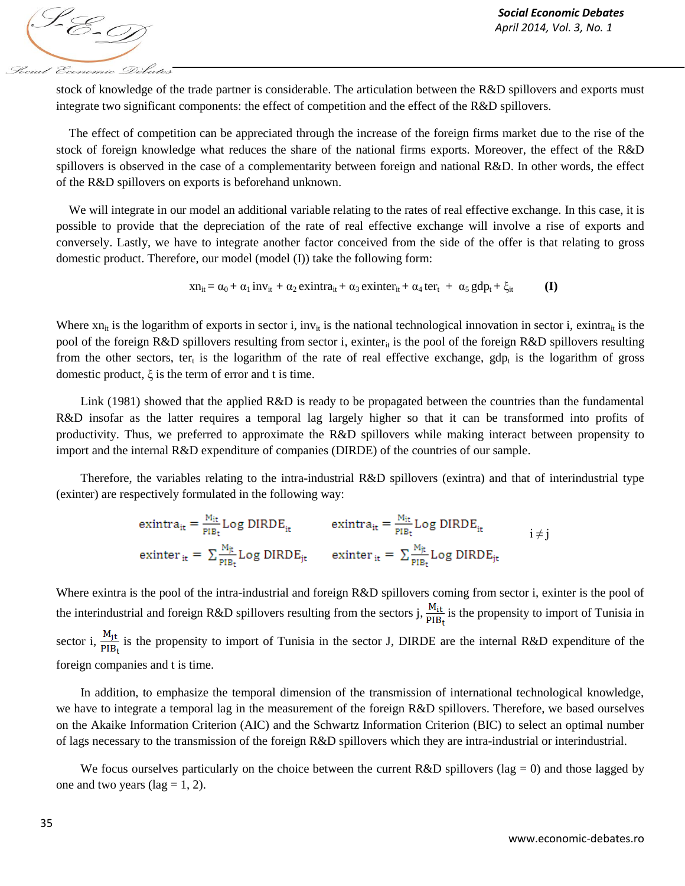

stock of knowledge of the trade partner is considerable. The articulation between the R&D spillovers and exports must integrate two significant components: the effect of competition and the effect of the R&D spillovers.

The effect of competition can be appreciated through the increase of the foreign firms market due to the rise of the stock of foreign knowledge what reduces the share of the national firms exports. Moreover, the effect of the R&D spillovers is observed in the case of a complementarity between foreign and national R&D. In other words, the effect of the R&D spillovers on exports is beforehand unknown.

We will integrate in our model an additional variable relating to the rates of real effective exchange. In this case, it is possible to provide that the depreciation of the rate of real effective exchange will involve a rise of exports and conversely. Lastly, we have to integrate another factor conceived from the side of the offer is that relating to gross domestic product. Therefore, our model (model (I)) take the following form:

$$
xn_{it} = \alpha_0 + \alpha_1 inv_{it} + \alpha_2 exit = \alpha_3 exit = r_{it} + \alpha_4 ter_t + \alpha_5 gdp_t + \xi_{it}
$$
 (I)

Where  $xn_{it}$  is the logarithm of exports in sector i, inv<sub>it</sub> is the national technological innovation in sector i, exintra<sub>it</sub> is the pool of the foreign R&D spillovers resulting from sector i, exinter<sub>it</sub> is the pool of the foreign R&D spillovers resulting from the other sectors, ter<sub>t</sub> is the logarithm of the rate of real effective exchange, gdp<sub>t</sub> is the logarithm of gross domestic product, ξ is the term of error and t is time.

Link (1981) showed that the applied R&D is ready to be propagated between the countries than the fundamental R&D insofar as the latter requires a temporal lag largely higher so that it can be transformed into profits of productivity. Thus, we preferred to approximate the R&D spillovers while making interact between propensity to import and the internal R&D expenditure of companies (DIRDE) of the countries of our sample.

Therefore, the variables relating to the intra-industrial R&D spillovers (exintra) and that of interindustrial type (exinter) are respectively formulated in the following way:

$$
ext{intra}_{it} = \frac{M_{it}}{p_{IBt}} Log DIRDE_{it} \qquad \text{ext{intra}_{it} = \frac{M_{it}}{p_{IBt}} Log DIRDE_{it}} \qquad i \neq j
$$
\n
$$
ext{intra}_{it} = \sum_{PIB_t} \frac{M_{jt}}{p_{IBt}} Log DIRDE_{it} \qquad \text{ext{intra}_{it} = \sum_{PIB_t} \frac{M_{jt}}{p_{IBt}} Log DIRDE_{it}}
$$

Where exintra is the pool of the intra-industrial and foreign R&D spillovers coming from sector i, exinter is the pool of the interindustrial and foreign R&D spillovers resulting from the sectors j,  $\frac{M_{it}}{PIB_t}$  is the propensity to import of Tunisia in sector i,  $\frac{M_{jt}}{PIB_t}$  is the propensity to import of Tunisia in the sector J, DIRDE are the internal R&D expenditure of the foreign companies and t is time.

In addition, to emphasize the temporal dimension of the transmission of international technological knowledge, we have to integrate a temporal lag in the measurement of the foreign R&D spillovers. Therefore, we based ourselves on the Akaike Information Criterion (AIC) and the Schwartz Information Criterion (BIC) to select an optimal number of lags necessary to the transmission of the foreign R&D spillovers which they are intra-industrial or interindustrial.

We focus ourselves particularly on the choice between the current R&D spillovers (lag = 0) and those lagged by one and two years (lag = 1, 2).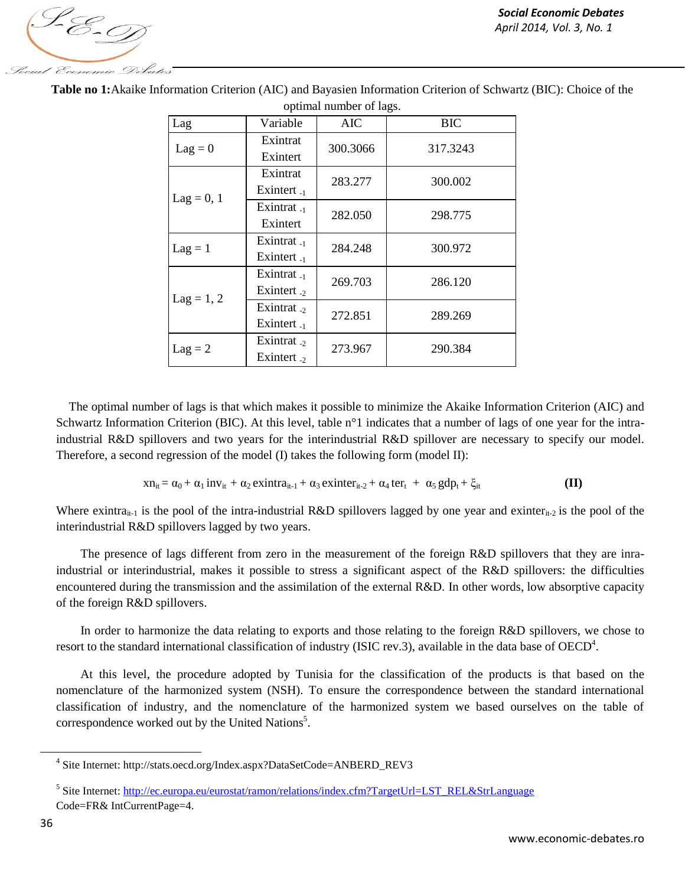1. E-9 Social Economic Debates

| Lag          | Variable         | <b>AIC</b> | <b>BIC</b> |  |
|--------------|------------------|------------|------------|--|
| $Lag = 0$    | Exintrat         | 300.3066   | 317.3243   |  |
|              | Exintert         |            |            |  |
|              | Exintrat         | 283.277    | 300.002    |  |
|              | Exintert $_{-1}$ |            |            |  |
| $Lag = 0, 1$ | Exintrat $_{-1}$ | 282.050    | 298.775    |  |
|              | Exintert         |            |            |  |
| $Lag = 1$    | Exintrat $_{-1}$ | 284.248    | 300.972    |  |
|              | Exintert $_{-1}$ |            |            |  |
|              | Exintrat $_{-1}$ | 269.703    | 286.120    |  |
| $Lag = 1, 2$ | Exintert $_{2}$  |            |            |  |
|              | Exintrat $_{2}$  | 272.851    | 289.269    |  |
|              | Exintert $_{-1}$ |            |            |  |
| $Lag = 2$    | Exintrat $_{2}$  | 273.967    | 290.384    |  |
|              | Exintert $_{2}$  |            |            |  |

**Table no 1:**Akaike Information Criterion (AIC) and Bayasien Information Criterion of Schwartz (BIC): Choice of the optimal number of lags.

The optimal number of lags is that which makes it possible to minimize the Akaike Information Criterion (AIC) and Schwartz Information Criterion (BIC). At this level, table n°1 indicates that a number of lags of one year for the intraindustrial R&D spillovers and two years for the interindustrial R&D spillover are necessary to specify our model. Therefore, a second regression of the model (I) takes the following form (model II):

$$
xn_{it} = \alpha_0 + \alpha_1 \, inv_{it} + \alpha_2 \, estimator_{it-1} + \alpha_3 \, estimator_{it-2} + \alpha_4 \, ter_t + \alpha_5 \, gdp_t + \xi_{it}
$$
 (II)

Where exintra<sub>it-1</sub> is the pool of the intra-industrial R&D spillovers lagged by one year and exinter<sub>it-2</sub> is the pool of the interindustrial R&D spillovers lagged by two years.

The presence of lags different from zero in the measurement of the foreign R&D spillovers that they are inraindustrial or interindustrial, makes it possible to stress a significant aspect of the R&D spillovers: the difficulties encountered during the transmission and the assimilation of the external R&D. In other words, low absorptive capacity of the foreign R&D spillovers.

In order to harmonize the data relating to exports and those relating to the foreign R&D spillovers, we chose to resort to the standard international classification of industry (ISIC rev.3), available in the data base of  $OECD<sup>4</sup>$ .

At this level, the procedure adopted by Tunisia for the classification of the products is that based on the nomenclature of the harmonized system (NSH). To ensure the correspondence between the standard international classification of industry, and the nomenclature of the harmonized system we based ourselves on the table of correspondence worked out by the United Nations<sup>5</sup>.

 $\overline{a}$ 

<sup>4</sup> Site Internet: http://stats.oecd.org/Index.aspx?DataSetCode=ANBERD\_REV3

<sup>&</sup>lt;sup>5</sup> Site Internet: [http://ec.europa.eu/eurostat/ramon/relations/index.cfm?TargetUrl=LST\\_REL&StrLanguage](http://ec.europa.eu/eurostat/ramon/relations/index.cfm?TargetUrl=LST_REL&StrLanguage) Code=FR& IntCurrentPage=4.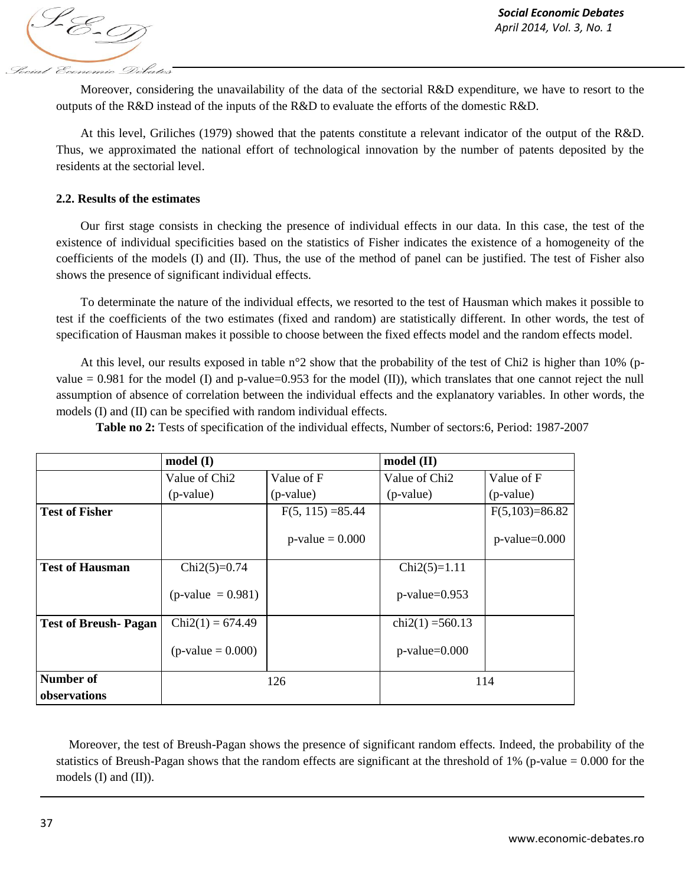S-E-01 Social Economic Debates

Moreover, considering the unavailability of the data of the sectorial R&D expenditure, we have to resort to the outputs of the R&D instead of the inputs of the R&D to evaluate the efforts of the domestic R&D.

At this level, Griliches (1979) showed that the patents constitute a relevant indicator of the output of the R&D. Thus, we approximated the national effort of technological innovation by the number of patents deposited by the residents at the sectorial level.

## **2.2. Results of the estimates**

Our first stage consists in checking the presence of individual effects in our data. In this case, the test of the existence of individual specificities based on the statistics of Fisher indicates the existence of a homogeneity of the coefficients of the models (I) and (II). Thus, the use of the method of panel can be justified. The test of Fisher also shows the presence of significant individual effects.

To determinate the nature of the individual effects, we resorted to the test of Hausman which makes it possible to test if the coefficients of the two estimates (fixed and random) are statistically different. In other words, the test of specification of Hausman makes it possible to choose between the fixed effects model and the random effects model.

At this level, our results exposed in table n°2 show that the probability of the test of Chi2 is higher than 10% (pvalue  $= 0.981$  for the model (I) and p-value=0.953 for the model (II)), which translates that one cannot reject the null assumption of absence of correlation between the individual effects and the explanatory variables. In other words, the models (I) and (II) can be specified with random individual effects.

**Table no 2:** Tests of specification of the individual effects, Number of sectors:6, Period: 1987-2007

|                                  | model(I)                  |                     | $model$ (II)              |                  |
|----------------------------------|---------------------------|---------------------|---------------------------|------------------|
|                                  | Value of Chi <sub>2</sub> | Value of F          | Value of Chi <sub>2</sub> | Value of F       |
|                                  | (p-value)                 | (p-value)           | (p-value)                 | (p-value)        |
| <b>Test of Fisher</b>            |                           | $F(5, 115) = 85.44$ |                           | $F(5,103)=86.82$ |
|                                  |                           | $p$ -value = 0.000  |                           | $p$ -value=0.000 |
| <b>Test of Hausman</b>           | $Chi2(5)=0.74$            |                     | $Chi2(5)=1.11$            |                  |
|                                  | $(p-value = 0.981)$       |                     | $p$ -value=0.953          |                  |
| <b>Test of Breush-Pagan</b>      | $Chi2(1) = 674.49$        |                     | $chi2(1) = 560.13$        |                  |
|                                  | $(p-value = 0.000)$       |                     | $p$ -value= $0.000$       |                  |
| <b>Number of</b><br>observations |                           | 126                 |                           | 114              |

Moreover, the test of Breush-Pagan shows the presence of significant random effects. Indeed, the probability of the statistics of Breush-Pagan shows that the random effects are significant at the threshold of 1% (p-value = 0.000 for the models (I) and (II)).

 $\overline{\phantom{a}}$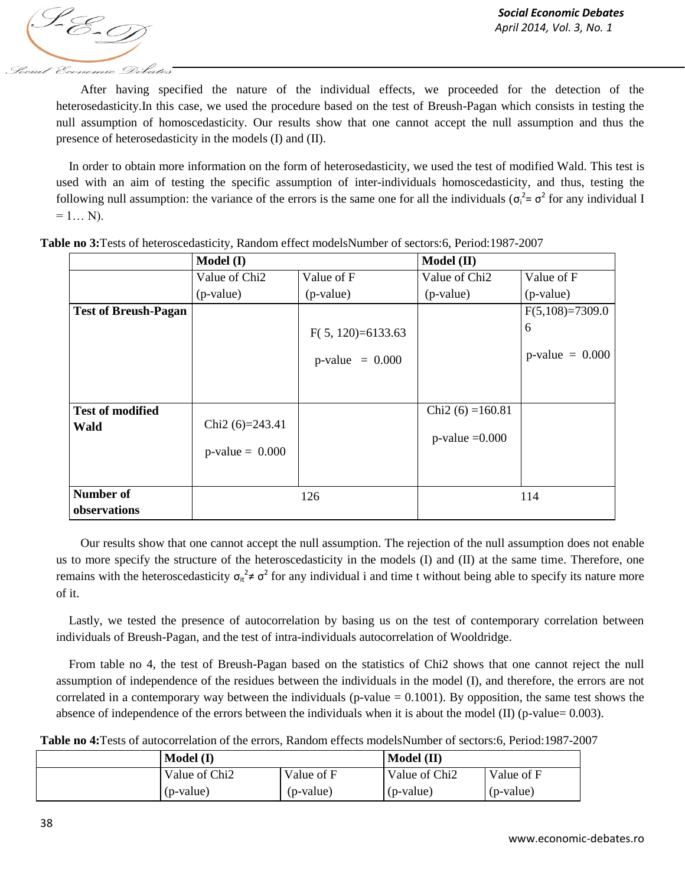S-E-T Social Economic Debates

After having specified the nature of the individual effects, we proceeded for the detection of the heterosedasticity.In this case, we used the procedure based on the test of Breush-Pagan which consists in testing the null assumption of homoscedasticity. Our results show that one cannot accept the null assumption and thus the presence of heterosedasticity in the models (I) and (II).

In order to obtain more information on the form of heterosedasticity, we used the test of modified Wald. This test is used with an aim of testing the specific assumption of inter-individuals homoscedasticity, and thus, testing the following null assumption: the variance of the errors is the same one for all the individuals ( $\sigma_i^2 = \sigma^2$  for any individual I  $= 1... N$ ).

|                             | Model (I)                 |                     | Model (II)                |                    |
|-----------------------------|---------------------------|---------------------|---------------------------|--------------------|
|                             | Value of Chi <sub>2</sub> | Value of F          | Value of Chi <sub>2</sub> | Value of F         |
|                             | (p-value)                 | (p-value)           | (p-value)                 | $(p-value)$        |
| <b>Test of Breush-Pagan</b> |                           |                     |                           | $F(5,108)=7309.0$  |
|                             |                           | $F(5, 120)=6133.63$ |                           | 6                  |
|                             |                           | $p-value = 0.000$   |                           | $p$ -value = 0.000 |
|                             |                           |                     |                           |                    |
| <b>Test of modified</b>     |                           |                     | Chi2 $(6) = 160.81$       |                    |
| Wald                        | Chi2 $(6)=243.41$         |                     |                           |                    |
|                             | $p-value = 0.000$         |                     | $p$ -value = 0.000        |                    |
|                             |                           |                     |                           |                    |
| Number of                   |                           | 126                 |                           | 114                |
| observations                |                           |                     |                           |                    |

**Table no 3:**Tests of heteroscedasticity, Random effect modelsNumber of sectors:6, Period:1987-2007

Our results show that one cannot accept the null assumption. The rejection of the null assumption does not enable us to more specify the structure of the heteroscedasticity in the models (I) and (II) at the same time. Therefore, one remains with the heteroscedasticity  $\sigma_t^2 \neq \sigma^2$  for any individual i and time t without being able to specify its nature more of it.

Lastly, we tested the presence of autocorrelation by basing us on the test of contemporary correlation between individuals of Breush-Pagan, and the test of intra-individuals autocorrelation of Wooldridge.

From table no 4, the test of Breush-Pagan based on the statistics of Chi2 shows that one cannot reject the null assumption of independence of the residues between the individuals in the model (I), and therefore, the errors are not correlated in a contemporary way between the individuals (p-value  $= 0.1001$ ). By opposition, the same test shows the absence of independence of the errors between the individuals when it is about the model (II) (p-value= 0.003).

**Table no 4:**Tests of autocorrelation of the errors, Random effects modelsNumber of sectors:6, Period:1987-2007

| Model (I)                 |            | Model (II)                |            |
|---------------------------|------------|---------------------------|------------|
| Value of Chi <sub>2</sub> | Value of F | Value of Chi <sub>2</sub> | Value of F |
| (p-value)                 | (p-value)  | (p-value)                 | (p-value)  |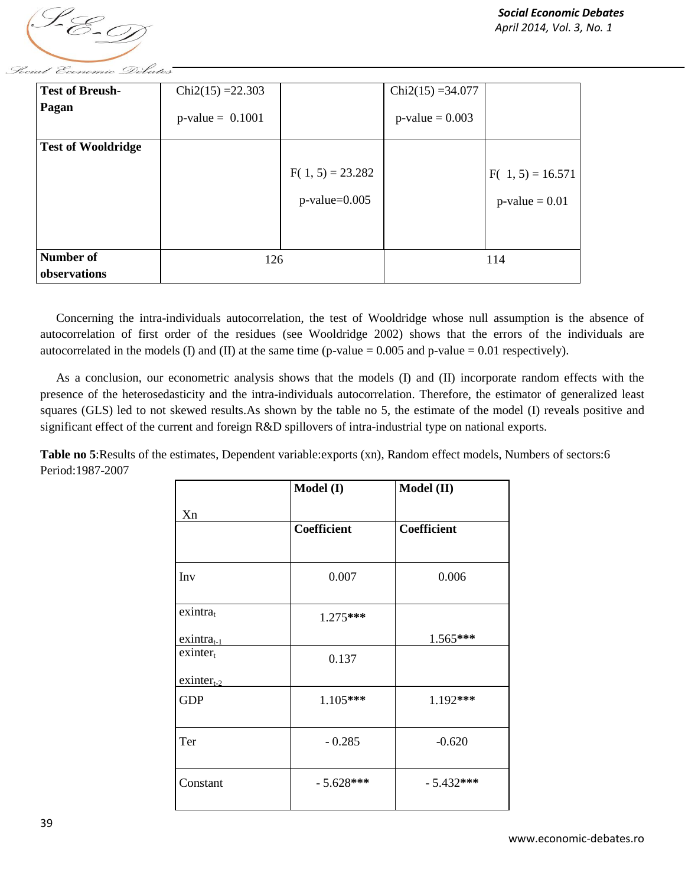

| <b>Test of Breush-</b>    | $Chi2(15) = 22.303$ |                     | $Chi2(15) = 34.077$ |                    |
|---------------------------|---------------------|---------------------|---------------------|--------------------|
| Pagan                     | $p$ -value = 0.1001 |                     | $p$ -value = 0.003  |                    |
| <b>Test of Wooldridge</b> |                     |                     |                     |                    |
|                           |                     | $F(1, 5) = 23.282$  |                     | $F(1, 5) = 16.571$ |
|                           |                     | $p$ -value= $0.005$ |                     | $p-value = 0.01$   |
|                           |                     |                     |                     |                    |
| Number of                 | 126                 |                     |                     | 114                |
| observations              |                     |                     |                     |                    |

Concerning the intra-individuals autocorrelation, the test of Wooldridge whose null assumption is the absence of autocorrelation of first order of the residues (see Wooldridge 2002) shows that the errors of the individuals are autocorrelated in the models (I) and (II) at the same time (p-value =  $0.005$  and p-value =  $0.01$  respectively).

As a conclusion, our econometric analysis shows that the models (I) and (II) incorporate random effects with the presence of the heterosedasticity and the intra-individuals autocorrelation. Therefore, the estimator of generalized least squares (GLS) led to not skewed results.As shown by the table no 5, the estimate of the model (I) reveals positive and significant effect of the current and foreign R&D spillovers of intra-industrial type on national exports.

**Table no 5**:Results of the estimates, Dependent variable:exports (xn), Random effect models, Numbers of sectors:6 Period:1987-2007

|                         | Model (I)          | $\textbf{Model (II)}$ |
|-------------------------|--------------------|-----------------------|
| Xn                      |                    |                       |
|                         | <b>Coefficient</b> | <b>Coefficient</b>    |
|                         |                    |                       |
| Inv                     | 0.007              | 0.006                 |
| $exintra_t$             |                    |                       |
|                         | 1.275***           |                       |
| $exintra_{t-1}$         |                    | 1.565***              |
| $ext{either}_t$         | 0.137              |                       |
| $ext{ext{inter}}_{t-2}$ |                    |                       |
| <b>GDP</b>              | 1.105***           | 1.192***              |
| Ter                     | $-0.285$           | $-0.620$              |
| Constant                | $-5.628***$        | $-5.432***$           |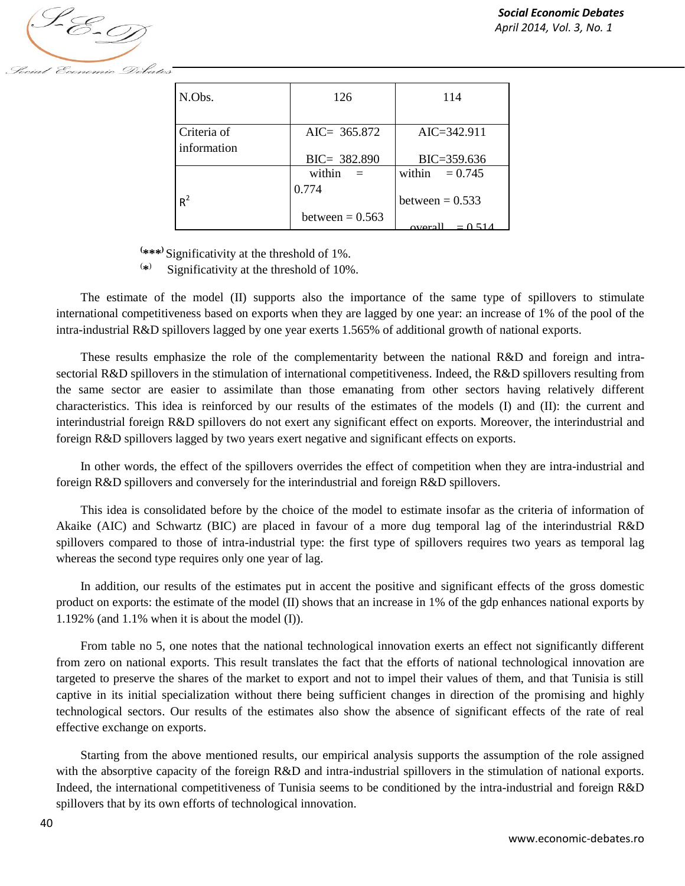

| N.Obs.      | 126                        | 114                      |
|-------------|----------------------------|--------------------------|
|             |                            |                          |
| Criteria of | AIC= $365.872$             | $AIC = 342.911$          |
| information | $BIC = 382.890$            | BIC=359.636              |
|             | within<br>$=$              | within<br>$= 0.745$      |
| $R^2$       | 0.774<br>between $= 0.563$ | between $= 0.533$        |
|             |                            | $-0.51/$<br><b>OVATE</b> |

\*\*\*<sup></sup> Significativity at the threshold of 1%. **(**

 $\sim$  ( **\*** ) Significativity at the threshold of 10%.

The estimate of the model (II) supports also the importance of the same type of spillovers to stimulate international competitiveness based on exports when they are lagged by one year: an increase of 1% of the pool of the intra-industrial R&D spillovers lagged by one year exerts 1.565% of additional growth of national exports.

These results emphasize the role of the complementarity between the national R&D and foreign and intrasectorial R&D spillovers in the stimulation of international competitiveness. Indeed, the R&D spillovers resulting from the same sector are easier to assimilate than those emanating from other sectors having relatively different characteristics. This idea is reinforced by our results of the estimates of the models (I) and (II): the current and interindustrial foreign R&D spillovers do not exert any significant effect on exports. Moreover, the interindustrial and foreign R&D spillovers lagged by two years exert negative and significant effects on exports.

In other words, the effect of the spillovers overrides the effect of competition when they are intra-industrial and foreign R&D spillovers and conversely for the interindustrial and foreign R&D spillovers.

This idea is consolidated before by the choice of the model to estimate insofar as the criteria of information of Akaike (AIC) and Schwartz (BIC) are placed in favour of a more dug temporal lag of the interindustrial R&D spillovers compared to those of intra-industrial type: the first type of spillovers requires two years as temporal lag whereas the second type requires only one year of lag.

In addition, our results of the estimates put in accent the positive and significant effects of the gross domestic product on exports: the estimate of the model (II) shows that an increase in 1% of the gdp enhances national exports by 1.192% (and 1.1% when it is about the model (I)).

From table no 5, one notes that the national technological innovation exerts an effect not significantly different from zero on national exports. This result translates the fact that the efforts of national technological innovation are targeted to preserve the shares of the market to export and not to impel their values of them, and that Tunisia is still captive in its initial specialization without there being sufficient changes in direction of the promising and highly technological sectors. Our results of the estimates also show the absence of significant effects of the rate of real effective exchange on exports.

Starting from the above mentioned results, our empirical analysis supports the assumption of the role assigned with the absorptive capacity of the foreign R&D and intra-industrial spillovers in the stimulation of national exports. Indeed, the international competitiveness of Tunisia seems to be conditioned by the intra-industrial and foreign R&D spillovers that by its own efforts of technological innovation.